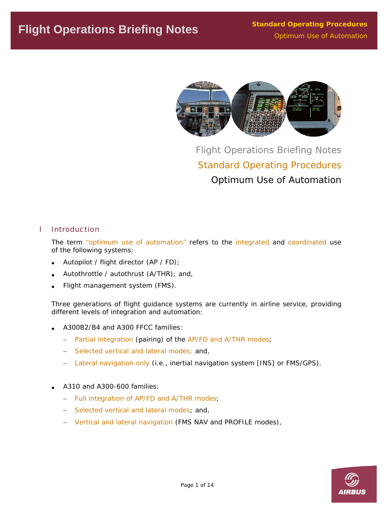

Flight Operations Briefing Notes Standard Operating Procedures Optimum Use of Automation

# I Introduction

The term "optimum use of automation" refers to the integrated and coordinated use of the following systems:

- Autopilot / flight director (AP / FD);
- Autothrottle / autothrust (A/THR); and,
- Flight management system (FMS).

Three generations of flight guidance systems are currently in airline service, providing different levels of integration and automation:

- A300B2/B4 and A300 FFCC families:
	- − Partial integration (pairing) of the AP/FD and A/THR modes;
	- − Selected vertical and lateral modes; and,
	- − Lateral navigation only (i.e., inertial navigation system [INS] or FMS/GPS).
- A310 and A300-600 families:
	- − Full integration of AP/FD and A/THR modes;
	- − Selected vertical and lateral modes; and,
	- − Vertical and lateral navigation (FMS NAV and PROFILE modes),

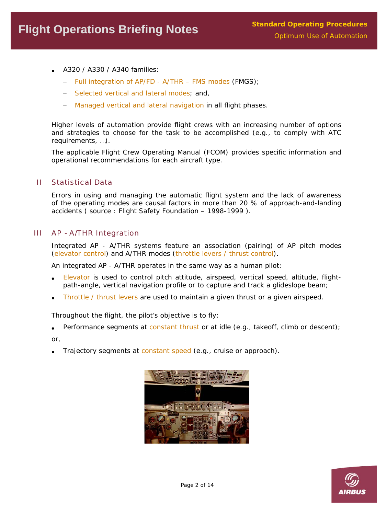- A320 / A330 / A340 families:
	- − Full integration of AP/FD A/THR FMS modes (FMGS);
	- − Selected vertical and lateral modes; and,
	- − Managed vertical and lateral navigation in all flight phases.

Higher levels of automation provide flight crews with an increasing number of options and strategies to choose for the task to be accomplished (e.g., to comply with ATC requirements, …).

The applicable Flight Crew Operating Manual (FCOM) provides specific information and operational recommendations for each aircraft type.

# II Statistical Data

Errors in using and managing the automatic flight system and the lack of awareness of the operating modes are causal factors in more than 20 % of approach-and-landing accidents ( source : Flight Safety Foundation – 1998-1999 ).

# III AP - A/THR Integration

Integrated AP - A/THR systems feature an association (pairing) of AP pitch modes (elevator control) and A/THR modes (throttle levers / thrust control).

An integrated AP - A/THR operates in the same way as a human pilot:

- Elevator is used to control pitch attitude, airspeed, vertical speed, altitude, flightpath-angle, vertical navigation profile or to capture and track a glideslope beam;
- Throttle / thrust levers are used to maintain a given thrust or a given airspeed.

Throughout the flight, the pilot's objective is to fly:

• Performance segments at constant thrust or at idle (e.g., takeoff, climb or descent);

or,

Trajectory segments at constant speed (e.g., cruise or approach).



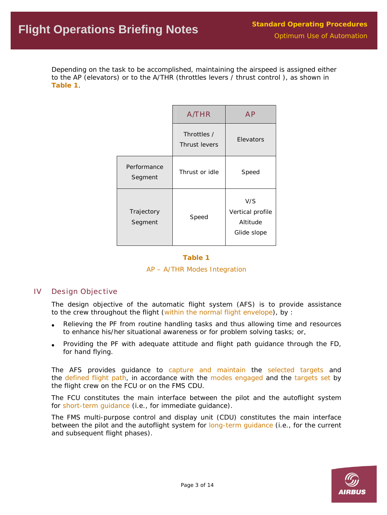Depending on the task to be accomplished, maintaining the airspeed is assigned either to the AP (elevators) or to the A/THR (throttles levers / thrust control ), as shown in **Table 1**.

|                        | <b>A/THR</b>                 | <b>AP</b>                                          |
|------------------------|------------------------------|----------------------------------------------------|
|                        | Throttles /<br>Thrust levers | Elevators                                          |
| Performance<br>Segment | Thrust or idle               | Speed                                              |
| Trajectory<br>Segment  | Speed                        | V/S<br>Vertical profile<br>Altitude<br>Glide slope |

#### **Table 1**

#### *AP – A/THR Modes Integration*

# IV Design Objective

The design objective of the automatic flight system (AFS) is to provide assistance to the crew throughout the flight (within the normal flight envelope), by :

- Relieving the PF from routine handling tasks and thus allowing time and resources to enhance his/her situational awareness or for problem solving tasks; or,
- Providing the PF with adequate attitude and flight path guidance through the FD, for hand flying.

The AFS provides guidance to capture and maintain the selected targets and the defined flight path, in accordance with the modes engaged and the targets set by the flight crew on the FCU or on the FMS CDU.

The FCU constitutes the main interface between the pilot and the autoflight system for short-term guidance (i.e., for immediate guidance).

The FMS multi-purpose control and display unit (CDU) constitutes the main interface between the pilot and the autoflight system for long-term guidance (i.e., for the current and subsequent flight phases).

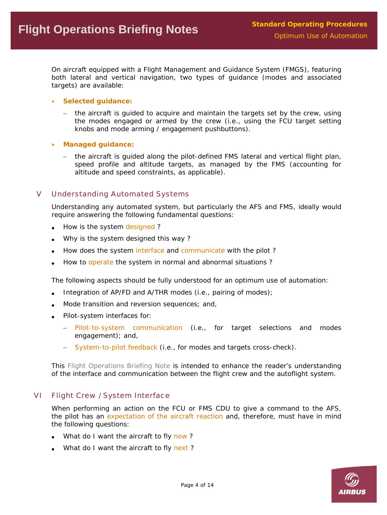On aircraft equipped with a Flight Management and Guidance System (FMGS), featuring both lateral and vertical navigation, two types of guidance (modes and associated targets) are available:

- **Selected guidance:** 
	- − the aircraft is guided to acquire and maintain the targets set by the crew, using the modes engaged or armed by the crew (i.e., using the FCU target setting knobs and mode arming / engagement pushbuttons).
- **Managed guidance:** 
	- − the aircraft is guided along the pilot-defined FMS lateral and vertical flight plan, speed profile and altitude targets, as managed by the FMS (accounting for altitude and speed constraints, as applicable).

# V Understanding Automated Systems

Understanding any automated system, but particularly the AFS and FMS, ideally would require answering the following fundamental questions:

- How is the system designed?
- Why is the system designed this way ?
- How does the system interface and communicate with the pilot?
- How to operate the system in normal and abnormal situations ?

The following aspects should be fully understood for an optimum use of automation:

- Integration of AP/FD and A/THR modes (i.e., pairing of modes);
- Mode transition and reversion sequences; and,
- Pilot-system interfaces for:
	- − Pilot-to-system communication (i.e., for target selections and modes engagement); and,
	- − System-to-pilot feedback (i.e., for modes and targets cross-check).

This *Flight Operations Briefing Note* is intended to enhance the reader's understanding of the interface and communication between the flight crew and the autoflight system.

# VI Flight Crew / System Interface

When performing an action on the FCU or FMS CDU to give a command to the AFS, the pilot has an expectation of the aircraft reaction and, therefore, must have in mind the following questions:

- What do I want the aircraft to fly now?
- What do I want the aircraft to fly next?

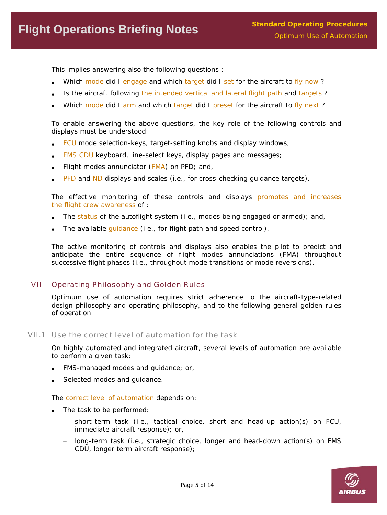This implies answering also the following questions :

- Which mode did I engage and which target did I set for the aircraft to fly now?
- Is the aircraft following the intended vertical and lateral flight path and targets?
- Which mode did I arm and which target did I preset for the aircraft to fly next?

To enable answering the above questions, the key role of the following controls and displays must be understood:

- FCU mode selection-keys, target-setting knobs and display windows;
- FMS CDU keyboard, line-select keys, display pages and messages;
- Flight modes annunciator (FMA) on PFD; and,
- PFD and ND displays and scales (i.e., for cross-checking guidance targets).

The effective monitoring of these controls and displays promotes and increases the flight crew awareness of :

- The status of the autoflight system (i.e., modes being engaged or armed); and,
- The available guidance (i.e., for flight path and speed control).

The active monitoring of controls and displays also enables the pilot to predict and anticipate the entire sequence of flight modes annunciations (FMA) throughout successive flight phases (i.e., throughout mode transitions or mode reversions).

# VII Operating Philosophy and Golden Rules

Optimum use of automation requires strict adherence to the aircraft-type-related design philosophy and operating philosophy, and to the following general golden rules of operation.

#### VII.1 Use the correct level of automation for the task

On highly automated and integrated aircraft, several levels of automation are available to perform a given task:

- FMS-managed modes and guidance; or,
- Selected modes and quidance.

The correct level of automation depends on:

- The task to be performed:
	- − short-term task (i.e., tactical choice, short and head-up action(s) on FCU, immediate aircraft response); or,
	- − long-term task (i.e., strategic choice, longer and head-down action(s) on FMS CDU, longer term aircraft response);

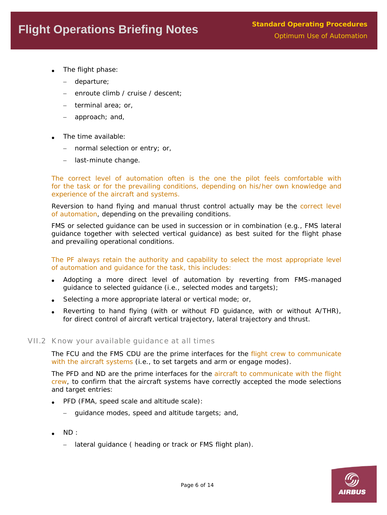- The flight phase:
	- departure;
	- enroute climb / cruise / descent;
	- − terminal area; or,
	- − approach; and,
- The time available:
	- − normal selection or entry; or,
	- − last-minute change.

The correct level of automation often is the one the pilot feels comfortable with for the task or for the prevailing conditions, depending on his/her own knowledge and experience of the aircraft and systems.

Reversion to hand flying and manual thrust control actually may be the correct level of automation, depending on the prevailing conditions.

FMS or selected guidance can be used in succession or in combination (e.g., FMS lateral guidance together with selected vertical guidance) as best suited for the flight phase and prevailing operational conditions.

The PF always retain the authority and capability to select the most appropriate level of automation and guidance for the task, this includes:

- Adopting a more direct level of automation by reverting from FMS-managed guidance to selected guidance (i.e., selected modes and targets);
- Selecting a more appropriate lateral or vertical mode; or,
- Reverting to hand flying (with or without FD guidance, with or without A/THR), for direct control of aircraft vertical trajectory, lateral trajectory and thrust.

# VII.2 Know your available guidance at all times

The FCU and the FMS CDU are the prime interfaces for the flight crew to communicate with the aircraft systems (i.e., to set targets and arm or engage modes).

The PFD and ND are the prime interfaces for the aircraft to communicate with the flight crew, to confirm that the aircraft systems have correctly accepted the mode selections and target entries:

- PFD (FMA, speed scale and altitude scale):
	- − guidance modes, speed and altitude targets; and,
- ND :
	- − lateral guidance ( heading or track or FMS flight plan).

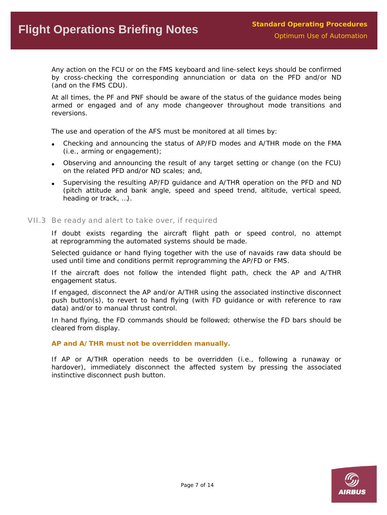Any action on the FCU or on the FMS keyboard and line-select keys should be confirmed by cross-checking the corresponding annunciation or data on the PFD and/or ND (and on the FMS CDU).

At all times, the PF and PNF should be aware of the status of the guidance modes being armed or engaged and of any mode changeover throughout mode transitions and reversions.

The use and operation of the AFS must be monitored at all times by:

- Checking and announcing the status of AP/FD modes and A/THR mode on the FMA (i.e., arming or engagement);
- Observing and announcing the result of any target setting or change (on the FCU) on the related PFD and/or ND scales; and,
- Supervising the resulting AP/FD guidance and A/THR operation on the PFD and ND (pitch attitude and bank angle, speed and speed trend, altitude, vertical speed, heading or track, …).

#### VII.3 Be ready and alert to take over, if required

If doubt exists regarding the aircraft flight path or speed control, no attempt at reprogramming the automated systems should be made.

Selected guidance or hand flying together with the use of navaids raw data should be used until time and conditions permit reprogramming the AP/FD or FMS.

If the aircraft does not follow the intended flight path, check the AP and A/THR engagement status.

If engaged, disconnect the AP and/or A/THR using the associated instinctive disconnect push button(s), to revert to hand flying (with FD guidance or with reference to raw data) and/or to manual thrust control.

In hand flying, the FD commands should be followed; otherwise the FD bars should be cleared from display.

#### **AP and A/THR must not be overridden manually.**

If AP or A/THR operation needs to be overridden (i.e., following a runaway or hardover), immediately disconnect the affected system by pressing the associated instinctive disconnect push button.

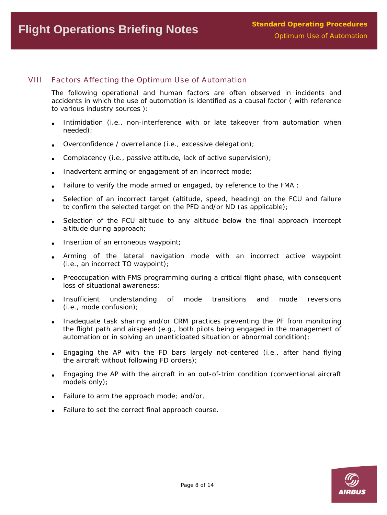# VIII Factors Affecting the Optimum Use of Automation

The following operational and human factors are often observed in incidents and accidents in which the use of automation is identified as a causal factor ( with reference to various industry sources ):

- Intimidation (i.e., non-interference with or late takeover from automation when needed);
- Overconfidence / overreliance (i.e., excessive delegation);
- Complacency (i.e., passive attitude, lack of active supervision);
- Inadvertent arming or engagement of an incorrect mode;
- Failure to verify the mode armed or engaged, by reference to the FMA ;
- Selection of an incorrect target (altitude, speed, heading) on the FCU and failure to confirm the selected target on the PFD and/or ND (as applicable);
- Selection of the FCU altitude to any altitude below the final approach intercept altitude during approach;
- Insertion of an erroneous waypoint;
- Arming of the lateral navigation mode with an incorrect active waypoint (i.e., an incorrect TO waypoint);
- Preoccupation with FMS programming during a critical flight phase, with consequent loss of situational awareness;
- Insufficient understanding of mode transitions and mode reversions (i.e., mode confusion);
- Inadequate task sharing and/or CRM practices preventing the PF from monitoring the flight path and airspeed (e.g., both pilots being engaged in the management of automation or in solving an unanticipated situation or abnormal condition);
- Engaging the AP with the FD bars largely not-centered (i.e., after hand flying the aircraft without following FD orders);
- Engaging the AP with the aircraft in an out-of-trim condition (conventional aircraft models only);
- Failure to arm the approach mode; and/or,
- Failure to set the correct final approach course.

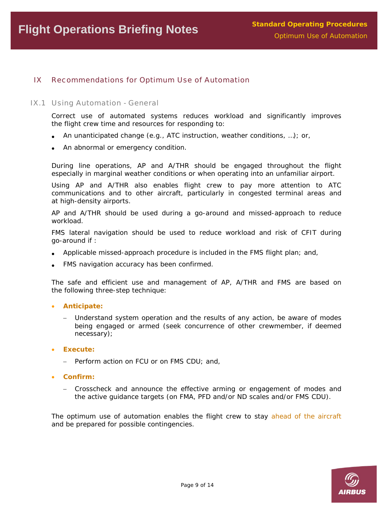# IX Recommendations for Optimum Use of Automation

#### IX.1 Using Automation - General

Correct use of automated systems reduces workload and significantly improves the flight crew time and resources for responding to:

- An unanticipated change (e.g., ATC instruction, weather conditions, …); or,
- An abnormal or emergency condition.

During line operations, AP and A/THR should be engaged throughout the flight especially in marginal weather conditions or when operating into an unfamiliar airport.

Using AP and A/THR also enables flight crew to pay more attention to ATC communications and to other aircraft, particularly in congested terminal areas and at high-density airports.

AP and A/THR should be used during a go-around and missed-approach to reduce workload.

FMS lateral navigation should be used to reduce workload and risk of CFIT during go-around if :

- Applicable missed-approach procedure is included in the FMS flight plan; and,
- FMS navigation accuracy has been confirmed.

The safe and efficient use and management of AP, A/THR and FMS are based on the following three-step technique:

- **Anticipate:** 
	- − Understand system operation and the results of any action, be aware of modes being engaged or armed (seek concurrence of other crewmember, if deemed necessary);
- **Execute:** 
	- − Perform action on FCU or on FMS CDU; and,
- **Confirm:** 
	- − Crosscheck and announce the effective arming or engagement of modes and the active guidance targets (on FMA, PFD and/or ND scales and/or FMS CDU).

The optimum use of automation enables the flight crew to stay ahead of the aircraft and be prepared for possible contingencies.

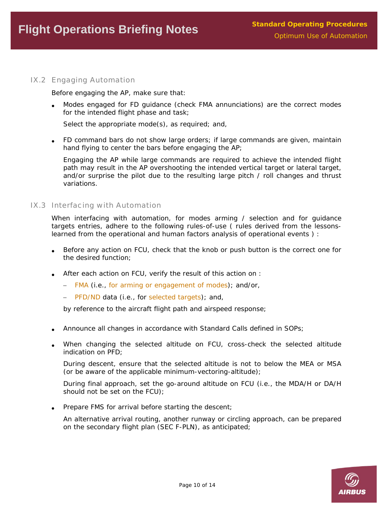# IX.2 Engaging Automation

Before engaging the AP, make sure that:

• Modes engaged for FD guidance (check FMA annunciations) are the correct modes for the intended flight phase and task;

Select the appropriate mode(s), as required; and,

• FD command bars do not show large orders; if large commands are given, maintain hand flying to center the bars before engaging the AP;

Engaging the AP while large commands are required to achieve the intended flight path may result in the AP overshooting the intended vertical target or lateral target, and/or surprise the pilot due to the resulting large pitch / roll changes and thrust variations.

#### IX.3 Interfacing with Automation

When interfacing with automation, for modes arming / selection and for guidance targets entries, adhere to the following rules-of-use ( rules derived from the lessonslearned from the operational and human factors analysis of operational events ) :

- Before any action on FCU, check that the knob or push button is the correct one for the desired function;
- After each action on FCU, verify the result of this action on :
	- − FMA (i.e., for arming or engagement of modes); and/or,
	- − PFD/ND data (i.e., for selected targets); and,

by reference to the aircraft flight path and airspeed response;

- Announce all changes in accordance with Standard Calls defined in SOPs;
- When changing the selected altitude on FCU, cross-check the selected altitude indication on PFD;

During descent, ensure that the selected altitude is not to below the MEA or MSA (or be aware of the applicable minimum-vectoring-altitude);

During final approach, set the go-around altitude on FCU (i.e., the MDA/H or DA/H should not be set on the FCU);

Prepare FMS for arrival before starting the descent;

An alternative arrival routing, another runway or circling approach, can be prepared on the secondary flight plan (SEC F-PLN), as anticipated;

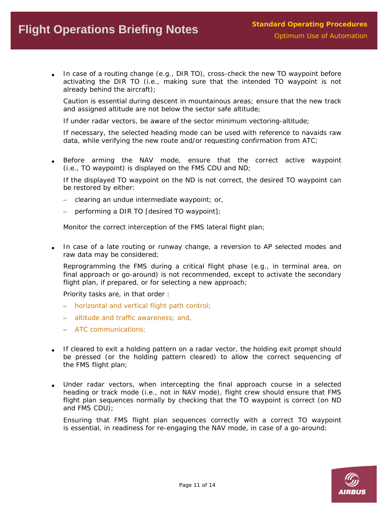# **Flight Operations Briefing Notes Flight Operations Briefing Notes Construction** Deration Optimum Use of Automation

• In case of a routing change (e.g., DIR TO), cross-check the new TO waypoint before activating the DIR TO (i.e., making sure that the intended TO waypoint is not already behind the aircraft);

Caution is essential during descent in mountainous areas; ensure that the new track and assigned altitude are not below the sector safe altitude;

If under radar vectors, be aware of the sector minimum vectoring-altitude;

If necessary, the selected heading mode can be used with reference to navaids raw data, while verifying the new route and/or requesting confirmation from ATC;

• Before arming the NAV mode, ensure that the correct active waypoint (i.e., TO waypoint) is displayed on the FMS CDU and ND;

If the displayed TO waypoint on the ND is not correct, the desired TO waypoint can be restored by either:

- − clearing an undue intermediate waypoint; or,
- performing a DIR TO [desired TO waypoint];

Monitor the correct interception of the FMS lateral flight plan;

• In case of a late routing or runway change, a reversion to AP selected modes and raw data may be considered;

Reprogramming the FMS during a critical flight phase (e.g., in terminal area, on final approach or go-around) is not recommended, except to activate the secondary flight plan, if prepared, or for selecting a new approach;

Priority tasks are, in that order :

- − horizontal and vertical flight path control;
- − altitude and traffic awareness; and,
- − ATC communications;
- If cleared to exit a holding pattern on a radar vector, the holding exit prompt should be pressed (or the holding pattern cleared) to allow the correct sequencing of the FMS flight plan;
- Under radar vectors, when intercepting the final approach course in a selected heading or track mode (i.e., not in NAV mode), flight crew should ensure that FMS flight plan sequences normally by checking that the TO waypoint is correct (on ND and FMS CDU);

Ensuring that FMS flight plan sequences correctly with a correct TO waypoint is essential, in readiness for re-engaging the NAV mode, in case of a go-around;

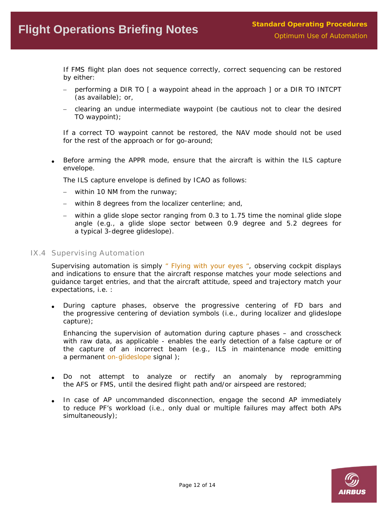# **Flight Operations Briefing Notes Flight Operations Briefing Notes Construction** Deration Optimum Use of Automation

If FMS flight plan does not sequence correctly, correct sequencing can be restored by either:

- − performing a DIR TO [ a waypoint ahead in the approach ] or a DIR TO INTCPT (as available); or,
- − clearing an undue intermediate waypoint (be cautious not to clear the desired TO waypoint);

If a correct TO waypoint cannot be restored, the NAV mode should not be used for the rest of the approach or for go-around;

• Before arming the APPR mode, ensure that the aircraft is within the ILS capture envelope.

The ILS capture envelope is defined by ICAO as follows:

- − within 10 NM from the runway;
- − within 8 degrees from the localizer centerline; and,
- − within a glide slope sector ranging from 0.3 to 1.75 time the nominal glide slope angle (e.g., a glide slope sector between 0.9 degree and 5.2 degrees for a typical 3-degree glideslope).
- IX.4 Supervising Automation

Supervising automation is simply *" Flying with your eyes "*, observing cockpit displays and indications to ensure that the aircraft response matches your mode selections and guidance target entries, and that the aircraft attitude, speed and trajectory match your expectations, i.e. :

• During capture phases, observe the progressive centering of FD bars and the progressive centering of deviation symbols (i.e., during localizer and glideslope capture);

Enhancing the supervision of automation during capture phases – and crosscheck with raw data, as applicable - enables the early detection of a false capture or of the capture of an incorrect beam (e.g., ILS in maintenance mode emitting a permanent on-glideslope signal);

- Do not attempt to analyze or rectify an anomaly by reprogramming the AFS or FMS, until the desired flight path and/or airspeed are restored;
- In case of AP uncommanded disconnection, engage the second AP immediately to reduce PF's workload (i.e., only dual or multiple failures may affect both APs simultaneously);

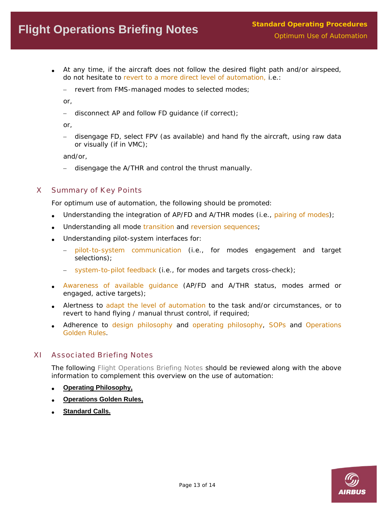- At any time, if the aircraft does not follow the desired flight path and/or airspeed, do not hesitate to revert to a more direct level of automation, i.e.:
	- − revert from FMS-managed modes to selected modes;

or,

− disconnect AP and follow FD guidance (if correct);

or,

− disengage FD, select FPV (as available) and hand fly the aircraft, using raw data or visually (if in VMC);

and/or,

− disengage the A/THR and control the thrust manually.

# X Summary of Key Points

For optimum use of automation, the following should be promoted:

- Understanding the integration of AP/FD and A/THR modes (i.e., pairing of modes);
- Understanding all mode transition and reversion sequences;
- Understanding pilot-system interfaces for:
	- − pilot-to-system communication (i.e., for modes engagement and target selections);
	- − system-to-pilot feedback (i.e., for modes and targets cross-check);
- Awareness of available guidance (AP/FD and A/THR status, modes armed or engaged, active targets);
- Alertness to adapt the level of automation to the task and/or circumstances, or to revert to hand flying / manual thrust control, if required;
- Adherence to design philosophy and operating philosophy, SOPs and Operations Golden Rules.

# XI Associated Briefing Notes

The following *Flight Operations Briefing Notes* should be reviewed along with the above information to complement this overview on the use of automation:

- **[Operating Philosophy,](http://stagev4.airbus.com/store/mm_repository/safety_library_items/att00003098/media_object_file_FLT_OPS-SOP-SEQ01.pdf)**
- **[Operations Golden Rules,](http://stagev4.airbus.com/store/mm_repository/safety_library_items/att00003105/media_object_file_FLT_OPS-SOP-SEQ03.pdf)**
- **[Standard Calls.](http://stagev4.airbus.com/store/mm_repository/safety_library_items/att00003106/media_object_file_FLT_OPS-SOP-SEQ04.pdf)**